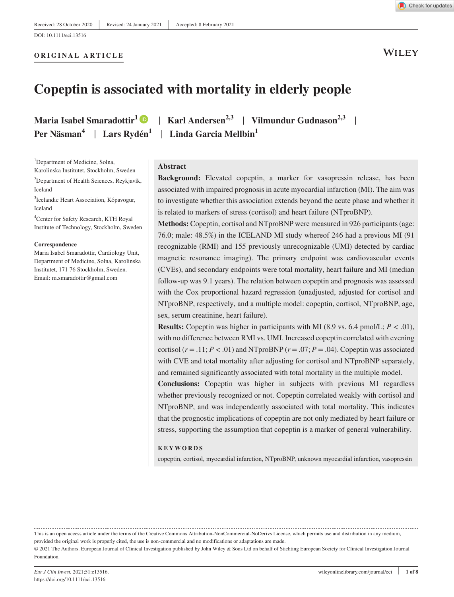**ORIGINAL ARTICLE**

**WILEY** 

# **Copeptin is associated with mortality in elderly people**

**Maria Isabel Smaradottir**<sup>1</sup>  $\bullet$  | **Karl Andersen**<sup>2,3</sup> | **Vilmundur Gudnason**<sup>2,3</sup> | **Per Näsman**<sup>4</sup> | Lars Rydén<sup>1</sup> | Linda Garcia Mellbin<sup>1</sup>

<sup>1</sup>Department of Medicine, Solna, Karolinska Institutet, Stockholm, Sweden

<sup>2</sup>Department of Health Sciences, Reykjavík, Iceland

<sup>3</sup>Icelandic Heart Association, Kópavogur, Iceland

4 Center for Safety Research, KTH Royal Institute of Technology, Stockholm, Sweden

#### **Correspondence**

Maria Isabel Smaradottir, Cardiology Unit, Department of Medicine, Solna, Karolinska Institutet, 171 76 Stockholm, Sweden. Email: [m.smaradottir@gmail.com](mailto:m.smaradottir@gmail.com)

#### **Abstract**

**Background:** Elevated copeptin, a marker for vasopressin release, has been associated with impaired prognosis in acute myocardial infarction (MI). The aim was to investigate whether this association extends beyond the acute phase and whether it is related to markers of stress (cortisol) and heart failure (NTproBNP).

**Methods:** Copeptin, cortisol and NTproBNP were measured in 926 participants (age: 76.0; male: 48.5%) in the ICELAND MI study whereof 246 had a previous MI (91 recognizable (RMI) and 155 previously unrecognizable (UMI) detected by cardiac magnetic resonance imaging). The primary endpoint was cardiovascular events (CVEs), and secondary endpoints were total mortality, heart failure and MI (median follow-up was 9.1 years). The relation between copeptin and prognosis was assessed with the Cox proportional hazard regression (unadjusted, adjusted for cortisol and NTproBNP, respectively, and a multiple model: copeptin, cortisol, NTproBNP, age, sex, serum creatinine, heart failure).

**Results:** Copeptin was higher in participants with MI (8.9 vs. 6.4 pmol/L;  $P < .01$ ), with no difference between RMI vs. UMI. Increased copeptin correlated with evening cortisol ( $r = .11$ ;  $P < .01$ ) and NTproBNP ( $r = .07$ ;  $P = .04$ ). Copeptin was associated with CVE and total mortality after adjusting for cortisol and NTproBNP separately, and remained significantly associated with total mortality in the multiple model.

**Conclusions:** Copeptin was higher in subjects with previous MI regardless whether previously recognized or not. Copeptin correlated weakly with cortisol and NTproBNP, and was independently associated with total mortality. This indicates that the prognostic implications of copeptin are not only mediated by heart failure or stress, supporting the assumption that copeptin is a marker of general vulnerability.

#### **KEYWORDS**

copeptin, cortisol, myocardial infarction, NTproBNP, unknown myocardial infarction, vasopressin

This is an open access article under the terms of the [Creative Commons Attribution-NonCommercial-NoDerivs](http://creativecommons.org/licenses/by-nc-nd/4.0/) License, which permits use and distribution in any medium, provided the original work is properly cited, the use is non-commercial and no modifications or adaptations are made.

© 2021 The Authors. European Journal of Clinical Investigation published by John Wiley & Sons Ltd on behalf of Stichting European Society for Clinical Investigation Journal Foundation.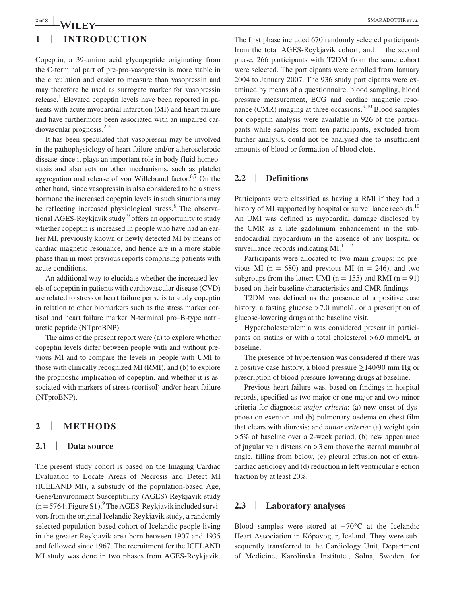### **2 of 8 <sup>|</sup>** SMARADOTTIR et al.

## **1** | **INTRODUCTION**

Copeptin, a 39-amino acid glycopeptide originating from the C-terminal part of pre-pro-vasopressin is more stable in the circulation and easier to measure than vasopressin and may therefore be used as surrogate marker for vasopressin release.<sup>1</sup> Elevated copeptin levels have been reported in patients with acute myocardial infarction (MI) and heart failure and have furthermore been associated with an impaired car $diovascular$  prognosis.<sup>2-5</sup>

It has been speculated that vasopressin may be involved in the pathophysiology of heart failure and/or atherosclerotic disease since it plays an important role in body fluid homeostasis and also acts on other mechanisms, such as platelet aggregation and release of von Willebrand factor.<sup>6,7</sup> On the other hand, since vasopressin is also considered to be a stress hormone the increased copeptin levels in such situations may be reflecting increased physiological stress.<sup>8</sup> The observational AGES-Reykjavik study <sup>9</sup> offers an opportunity to study whether copeptin is increased in people who have had an earlier MI, previously known or newly detected MI by means of cardiac magnetic resonance, and hence are in a more stable phase than in most previous reports comprising patients with acute conditions.

An additional way to elucidate whether the increased levels of copeptin in patients with cardiovascular disease (CVD) are related to stress or heart failure per se is to study copeptin in relation to other biomarkers such as the stress marker cortisol and heart failure marker N-terminal pro–B-type natriuretic peptide (NTproBNP).

The aims of the present report were (a) to explore whether copeptin levels differ between people with and without previous MI and to compare the levels in people with UMI to those with clinically recognized MI (RMI), and (b) to explore the prognostic implication of copeptin, and whether it is associated with markers of stress (cortisol) and/or heart failure (NTproBNP).

## **2** | **METHODS**

### **2.1** | **Data source**

The present study cohort is based on the Imaging Cardiac Evaluation to Locate Areas of Necrosis and Detect MI (ICELAND MI), a substudy of the population-based Age, Gene/Environment Susceptibility (AGES)-Reykjavik study  $(n = 5764;$  Figure S1). <sup>9</sup> The AGES-Reykjavik included survivors from the original Icelandic Reykjavik study, a randomly selected population-based cohort of Icelandic people living in the greater Reykjavik area born between 1907 and 1935 and followed since 1967. The recruitment for the ICELAND MI study was done in two phases from AGES-Reykjavik. The first phase included 670 randomly selected participants from the total AGES-Reykjavik cohort, and in the second phase, 266 participants with T2DM from the same cohort were selected. The participants were enrolled from January 2004 to January 2007. The 936 study participants were examined by means of a questionnaire, blood sampling, blood pressure measurement, ECG and cardiac magnetic resonance (CMR) imaging at three occasions.<sup>9,10</sup> Blood samples for copeptin analysis were available in 926 of the participants while samples from ten participants, excluded from further analysis, could not be analysed due to insufficient amounts of blood or formation of blood clots.

### **2.2** | **Definitions**

Participants were classified as having a RMI if they had a history of MI supported by hospital or surveillance records.<sup>10</sup> An UMI was defined as myocardial damage disclosed by the CMR as a late gadolinium enhancement in the subendocardial myocardium in the absence of any hospital or surveillance records indicating  $MI^{11,12}$ .

Participants were allocated to two main groups: no previous MI ( $n = 680$ ) and previous MI ( $n = 246$ ), and two subgroups from the latter: UMI ( $n = 155$ ) and RMI ( $n = 91$ ) based on their baseline characteristics and CMR findings.

T2DM was defined as the presence of a positive case history, a fasting glucose >7.0 mmol/L or a prescription of glucose-lowering drugs at the baseline visit.

Hypercholesterolemia was considered present in participants on statins or with a total cholesterol >6.0 mmol/L at baseline.

The presence of hypertension was considered if there was a positive case history, a blood pressure ≥140/90 mm Hg or prescription of blood pressure-lowering drugs at baseline.

Previous heart failure was, based on findings in hospital records, specified as two major or one major and two minor criteria for diagnosis: *major criteria*: (a) new onset of dyspnoea on exertion and (b) pulmonary oedema on chest film that clears with diuresis; and *minor criteria:* (a) weight gain >5% of baseline over a 2-week period, (b) new appearance of jugular vein distension >3 cm above the sternal manubrial angle, filling from below, (c) pleural effusion not of extracardiac aetiology and (d) reduction in left ventricular ejection fraction by at least 20%.

### **2.3** | **Laboratory analyses**

Blood samples were stored at −70°C at the Icelandic Heart Association in Kópavogur, Iceland. They were subsequently transferred to the Cardiology Unit, Department of Medicine, Karolinska Institutet, Solna, Sweden, for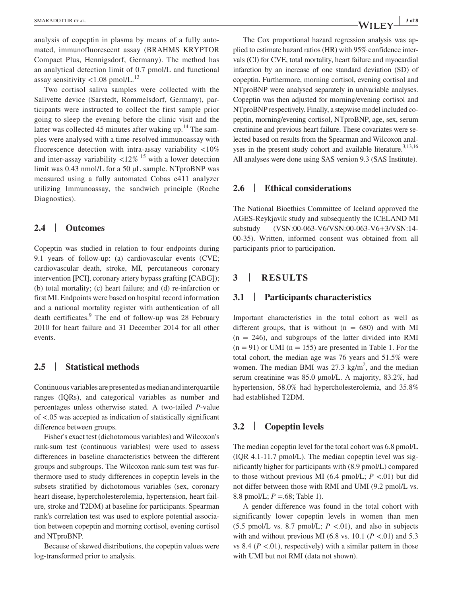analysis of copeptin in plasma by means of a fully automated, immunofluorescent assay (BRAHMS KRYPTOR Compact Plus, Hennigsdorf, Germany). The method has an analytical detection limit of 0.7 pmol/L and functional assay sensitivity  $< 1.08$  pmol/L.<sup>13</sup>

Two cortisol saliva samples were collected with the Salivette device (Sarstedt, Rommelsdorf, Germany), participants were instructed to collect the first sample prior going to sleep the evening before the clinic visit and the latter was collected 45 minutes after waking up.<sup>14</sup> The samples were analysed with a time-resolved immunoassay with fluorescence detection with intra-assay variability <10% and inter-assay variability  $\langle 12\% \rangle^{15}$  with a lower detection limit was 0.43 nmol/L for a 50 µL sample. NTproBNP was measured using a fully automated Cobas e411 analyzer utilizing Immunoassay, the sandwich principle (Roche Diagnostics).

### **2.4** | **Outcomes**

Copeptin was studied in relation to four endpoints during 9.1 years of follow-up: (a) cardiovascular events (CVE; cardiovascular death, stroke, MI, percutaneous coronary intervention [PCI], coronary artery bypass grafting [CABG]); (b) total mortality; (c) heart failure; and (d) re-infarction or first MI. Endpoints were based on hospital record information and a national mortality register with authentication of all death certificates.<sup>9</sup> The end of follow-up was 28 February 2010 for heart failure and 31 December 2014 for all other events.

### **2.5** | **Statistical methods**

Continuous variables are presented as median and interquartile ranges (IQRs), and categorical variables as number and percentages unless otherwise stated. A two-tailed *P*-value of <.05 was accepted as indication of statistically significant difference between groups.

Fisher's exact test (dichotomous variables) and Wilcoxon's rank-sum test (continuous variables) were used to assess differences in baseline characteristics between the different groups and subgroups. The Wilcoxon rank-sum test was furthermore used to study differences in copeptin levels in the subsets stratified by dichotomous variables (sex, coronary heart disease, hypercholesterolemia, hypertension, heart failure, stroke and T2DM) at baseline for participants. Spearman rank's correlation test was used to explore potential association between copeptin and morning cortisol, evening cortisol and NTproBNP.

Because of skewed distributions, the copeptin values were log-transformed prior to analysis.

The Cox proportional hazard regression analysis was applied to estimate hazard ratios (HR) with 95% confidence intervals (CI) for CVE, total mortality, heart failure and myocardial infarction by an increase of one standard deviation (SD) of copeptin. Furthermore, morning cortisol, evening cortisol and NTproBNP were analysed separately in univariable analyses. Copeptin was then adjusted for morning/evening cortisol and NTproBNP respectively. Finally, a stepwise model included copeptin, morning/evening cortisol, NTproBNP, age, sex, serum creatinine and previous heart failure. These covariates were selected based on results from the Spearman and Wilcoxon analyses in the present study cohort and available literature.<sup>3,13,16</sup> All analyses were done using SAS version 9.3 (SAS Institute).

### **2.6** | **Ethical considerations**

The National Bioethics Committee of Iceland approved the AGES-Reykjavik study and subsequently the ICELAND MI substudy (VSN:00-063-V6/VSN:00-063-V6+3/VSN:14- 00-35). Written, informed consent was obtained from all participants prior to participation.

### **3** | **RESULTS**

#### **3.1** | **Participants characteristics**

Important characteristics in the total cohort as well as different groups, that is without  $(n = 680)$  and with MI  $(n = 246)$ , and subgroups of the latter divided into RMI  $(n = 91)$  or UMI  $(n = 155)$  are presented in Table 1. For the total cohort, the median age was 76 years and 51.5% were women. The median BMI was  $27.3 \text{ kg/m}^2$ , and the median serum creatinine was 85.0 µmol/L. A majority, 83.2%, had hypertension, 58.0% had hypercholesterolemia, and 35.8% had established T2DM.

### **3.2** | **Copeptin levels**

The median copeptin level for the total cohort was 6.8 pmol/L (IQR 4.1-11.7 pmol/L). The median copeptin level was significantly higher for participants with (8.9 pmol/L) compared to those without previous MI (6.4 pmol/L;  $P < .01$ ) but did not differ between those with RMI and UMI (9.2 pmol/L vs. 8.8 pmol/L; *P* =.68; Table 1).

A gender difference was found in the total cohort with significantly lower copeptin levels in women than men (5.5 pmol/L vs. 8.7 pmol/L;  $P < .01$ ), and also in subjects with and without previous MI (6.8 vs. 10.1 ( $P < 01$ ) and 5.3 vs 8.4 ( $P < 01$ ), respectively) with a similar pattern in those with UMI but not RMI (data not shown).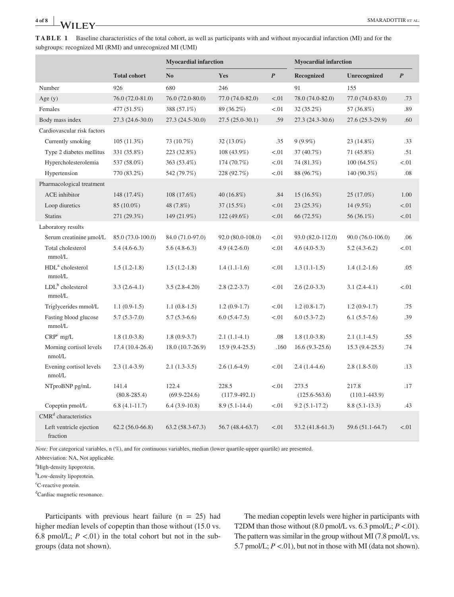| <b>TABLE 1</b> Baseline characteristics of the total cohort, as well as participants with and without myocardial infarction (MI) and for the |
|----------------------------------------------------------------------------------------------------------------------------------------------|
| subgroups: recognized MI (RMI) and unrecognized MI (UMI)                                                                                     |

|                                        |                           | <b>Myocardial infarction</b> |                          | <b>Myocardial infarction</b> |                            |                            |                  |
|----------------------------------------|---------------------------|------------------------------|--------------------------|------------------------------|----------------------------|----------------------------|------------------|
|                                        | <b>Total cohort</b>       | N <sub>0</sub>               | Yes                      | $\boldsymbol{P}$             | <b>Recognized</b>          | <b>Unrecognized</b>        | $\boldsymbol{P}$ |
| Number                                 | 926                       | 680                          | 246                      |                              | 91                         | 155                        |                  |
| Age $(y)$                              | 76.0 (72.0-81.0)          | 76.0 (72.0-80.0)             | 77.0 (74.0-82.0)         | < .01                        | 78.0 (74.0-82.0)           | 77.0 (74.0-83.0)           | .73              |
| Females                                | 477 (51.5%)               | 388 (57.1%)                  | 89 (36.2%)               | < 0.01                       | 32(35.2%)                  | 57 (36.8%)                 | .89              |
| Body mass index                        | 27.3 (24.6-30.0)          | $27.3(24.5-30.0)$            | $27.5(25.0-30.1)$        | .59                          | $27.3(24.3-30.6)$          | 27.6 (25.3-29.9)           | .60              |
| Cardiovascular risk factors            |                           |                              |                          |                              |                            |                            |                  |
| Currently smoking                      | 105(11.3%)                | 73 (10.7%)                   | 32 (13.0%)               | .35                          | $9(9.9\%)$                 | 23 (14.8%)                 | .33              |
| Type 2 diabetes mellitus               | 331 (35.8%)               | 223 (32.8%)                  | 108 (43.9%)              | < 0.01                       | 37 (40.7%)                 | 71 (45.8%)                 | .51              |
| Hypercholesterolemia                   | 537 (58.0%)               | 363 (53.4%)                  | 174 (70.7%)              | < 0.01                       | 74 (81.3%)                 | $100(64.5\%)$              | < 0.01           |
| Hypertension                           | 770 (83.2%)               | 542 (79.7%)                  | 228 (92.7%)              | < 01                         | 88 (96.7%)                 | 140 (90.3%)                | .08              |
| Pharmacological treatment              |                           |                              |                          |                              |                            |                            |                  |
| <b>ACE</b> inhibitor                   | 148 (17.4%)               | $108(17.6\%)$                | 40 (16.8%)               | .84                          | 15 (16.5%)                 | $25(17.0\%)$               | 1.00             |
| Loop diuretics                         | 85 (10.0%)                | 48 (7.8%)                    | 37 (15.5%)               | < .01                        | 23(25.3%)                  | $14(9.5\%)$                | < .01            |
| <b>Statins</b>                         | 271 (29.3%)               | 149 (21.9%)                  | 122 (49.6%)              | < 0.01                       | 66 (72.5%)                 | 56 (36.1%)                 | < .01            |
| Laboratory results                     |                           |                              |                          |                              |                            |                            |                  |
| Serum creatinine µmol/L                | 85.0 (73.0-100.0)         | 84.0 (71.0-97.0)             | 92.0 (80.0-108.0)        | < 0.01                       | 93.0 (82.0-112.0)          | 90.0 (76.0-106.0)          | .06              |
| Total cholesterol<br>mmol/L            | $5.4(4.6-6.3)$            | $5.6(4.8-6.3)$               | $4.9(4.2-6.0)$           | < 0.01                       | $4.6(4.0-5.3)$             | $5.2(4.3-6.2)$             | < 0.01           |
| HDL <sup>a</sup> cholesterol<br>mmol/L | $1.5(1.2-1.8)$            | $1.5(1.2-1.8)$               | $1.4(1.1-1.6)$           | < 01                         | $1.3(1.1-1.5)$             | $1.4(1.2-1.6)$             | .05              |
| $LDLb$ cholesterol<br>mmol/L           | $3.3(2.6-4.1)$            | $3.5(2.8-4.20)$              | $2.8(2.2-3.7)$           | < 01                         | $2.6(2.0-3.3)$             | $3.1(2.4-4.1)$             | < 0.01           |
| Triglycerides mmol/L                   | $1.1(0.9-1.5)$            | $1.1(0.8-1.5)$               | $1.2(0.9-1.7)$           | < 0.01                       | $1.2(0.8-1.7)$             | $1.2(0.9-1.7)$             | .75              |
| Fasting blood glucose<br>mmol/L        | $5.7(5.3-7.0)$            | $5.7(5.3-6.6)$               | $6.0(5.4-7.5)$           | < 0.01                       | $6.0(5.3-7.2)$             | $6.1(5.5-7.6)$             | .39              |
| $CRPc$ mg/L                            | $1.8(1.0-3.8)$            | $1.8(0.9-3.7)$               | $2.1(1.1-4.1)$           | .08                          | $1.8(1.0-3.8)$             | $2.1(1.1-4.5)$             | .55              |
| Morning cortisol levels<br>nmol/L      | $17.4(10.4-26.4)$         | $18.0(10.7-26.9)$            | $15.9(9.4-25.5)$         | .160                         | $16.6(9.3-25.6)$           | $15.3(9.4-25.5)$           | .74              |
| Evening cortisol levels<br>nmol/L      | $2.3(1.4-3.9)$            | $2.1(1.3-3.5)$               | $2.6(1.6-4.9)$           | < 01                         | $2.4(1.4-4.6)$             | $2.8(1.8-5.0)$             | .13              |
| NTproBNP pg/mL                         | 141.4<br>$(80.8 - 285.4)$ | 122.4<br>$(69.9 - 224.6)$    | 228.5<br>$(117.9-492.1)$ | < 0.01                       | 273.5<br>$(125.6 - 563.6)$ | 217.8<br>$(110.1 - 443.9)$ | .17              |
| Copeptin pmol/L                        | $6.8(4.1-11.7)$           | $6.4(3.9-10.8)$              | $8.9(5.1-14.4)$          | $-.01$                       | $9.2(5.1-17.2)$            | $8.8(5.1-13.3)$            | .43              |
| CMR <sup>d</sup> characteristics       |                           |                              |                          |                              |                            |                            |                  |
| Left ventricle ejection<br>fraction    | $62.2(56.0-66.8)$         | $63.2(58.3-67.3)$            | 56.7 (48.4-63.7)         | $-.01$                       | $53.2(41.8-61.3)$          | 59.6 (51.1-64.7)           | < 0.01           |

*Note:* For categorical variables, n (%), and for continuous variables, median (lower quartile-upper quartile) are presented.

Abbreviation: NA, Not applicable.

a High-density lipoprotein.

<sup>b</sup>Low-density lipoprotein.

<sup>c</sup>C-reactive protein.

d Cardiac magnetic resonance.

Participants with previous heart failure  $(n = 25)$  had higher median levels of copeptin than those without (15.0 vs. 6.8 pmol/L;  $P < .01$ ) in the total cohort but not in the subgroups (data not shown).

The median copeptin levels were higher in participants with T2DM than those without  $(8.0 \text{ pmol/L vs. } 6.3 \text{ pmol/L}; P < .01)$ . The pattern was similar in the group without MI (7.8 pmol/L vs. 5.7 pmol/L;  $P < 01$ ), but not in those with MI (data not shown).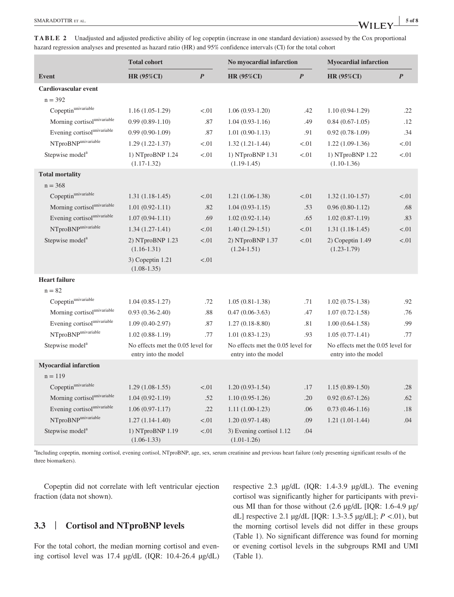|                                                 | <b>Total cohort</b>                                       |                  | No myocardial infarction                                  |                  | <b>Myocardial infarction</b>                              |                  |
|-------------------------------------------------|-----------------------------------------------------------|------------------|-----------------------------------------------------------|------------------|-----------------------------------------------------------|------------------|
| <b>Event</b>                                    | <b>HR (95%CI)</b>                                         | $\boldsymbol{P}$ | <b>HR (95%CI)</b>                                         | $\boldsymbol{P}$ | <b>HR (95%CI)</b>                                         | $\boldsymbol{P}$ |
| Cardiovascular event                            |                                                           |                  |                                                           |                  |                                                           |                  |
| $n = 392$                                       |                                                           |                  |                                                           |                  |                                                           |                  |
| Copeptinunivariable                             | $1.16(1.05-1.29)$                                         | < 01             | $1.06(0.93-1.20)$                                         | .42              | $1.10(0.94-1.29)$                                         | .22              |
| Morning cortisol <sup>univariable</sup>         | $0.99(0.89-1.10)$                                         | .87              | $1.04(0.93-1.16)$                                         | .49              | $0.84(0.67-1.05)$                                         | .12              |
| Evening cortisol <sup>univariable</sup>         | $0.99(0.90-1.09)$                                         | .87              | $1.01(0.90-1.13)$                                         | .91              | $0.92(0.78-1.09)$                                         | .34              |
| $N \Gamma$ pro $B \overline{N} P^{univariable}$ | $1.29(1.22 - 1.37)$                                       | < 01             | $1.32(1.21-1.44)$                                         | < 01             | $1.22(1.09-1.36)$                                         | < 0.01           |
| Stepwise model <sup>a</sup>                     | 1) NTproBNP 1.24<br>$(1.17-1.32)$                         | < 01             | 1) NTproBNP 1.31<br>$(1.19-1.45)$                         | < 0.01           | 1) NTproBNP 1.22<br>$(1.10-1.36)$                         | < 0.01           |
| <b>Total mortality</b>                          |                                                           |                  |                                                           |                  |                                                           |                  |
| $n = 368$                                       |                                                           |                  |                                                           |                  |                                                           |                  |
| Copeptinunivariable                             | $1.31(1.18-1.45)$                                         | < 01             | $1.21(1.06-1.38)$                                         | < 0.01           | $1.32(1.10-1.57)$                                         | < 0.01           |
| Morning cortisol <sup>univariable</sup>         | $1.01(0.92 - 1.11)$                                       | .82              | $1.04(0.93-1.15)$                                         | .53              | $0.96(0.80-1.12)$                                         | .68              |
| Evening cortisol <sup>univariable</sup>         | $1.07(0.94-1.11)$                                         | .69              | $1.02(0.92 - 1.14)$                                       | .65              | $1.02(0.87-1.19)$                                         | .83              |
| NTproBNP <sup>univariable</sup>                 | $1.34(1.27-1.41)$                                         | < 01             | $1.40(1.29-1.51)$                                         | < 0.01           | $1.31(1.18-1.45)$                                         | < 0.01           |
| Stepwise model <sup>a</sup>                     | 2) NTproBNP 1.23<br>$(1.16-1.31)$                         | < .01            | 2) NTproBNP 1.37<br>$(1.24 - 1.51)$                       | < .01            | $2)$ Copeptin 1.49<br>$(1.23 - 1.79)$                     | < 0.01           |
|                                                 | 3) Copeptin 1.21<br>$(1.08-1.35)$                         | < 01             |                                                           |                  |                                                           |                  |
| <b>Heart failure</b>                            |                                                           |                  |                                                           |                  |                                                           |                  |
| $n = 82$                                        |                                                           |                  |                                                           |                  |                                                           |                  |
| Copeptinunivariable                             | $1.04(0.85-1.27)$                                         | .72              | $1.05(0.81-1.38)$                                         | .71              | $1.02(0.75-1.38)$                                         | .92              |
| Morning cortisol <sup>univariable</sup>         | $0.93(0.36-2.40)$                                         | .88              | $0.47(0.06-3.63)$                                         | .47              | $1.07(0.72 - 1.58)$                                       | .76              |
| Evening cortisol <sup>univariable</sup>         | $1.09(0.40-2.97)$                                         | .87              | $1.27(0.18-8.80)$                                         | .81              | $1.00(0.64-1.58)$                                         | .99              |
| NTproBNPunivariable                             | $1.02(0.88-1.19)$                                         | .77              | $1.01(0.83-1.23)$                                         | .93              | $1.05(0.77-1.41)$                                         | .77              |
| Stepwise model <sup>a</sup>                     | No effects met the 0.05 level for<br>entry into the model |                  | No effects met the 0.05 level for<br>entry into the model |                  | No effects met the 0.05 level for<br>entry into the model |                  |
| <b>Myocardial infarction</b>                    |                                                           |                  |                                                           |                  |                                                           |                  |
| $n = 119$                                       |                                                           |                  |                                                           |                  |                                                           |                  |
| Copeptinunivariable                             | $1.29(1.08-1.55)$                                         | < 01             | $1.20(0.93-1.54)$                                         | .17              | $1.15(0.89-1.50)$                                         | .28              |
| Morning cortisol <sup>univariable</sup>         | $1.04(0.92-1.19)$                                         | .52              | $1.10(0.95-1.26)$                                         | .20              | $0.92(0.67-1.26)$                                         | .62              |
| Evening cortisol <sup>univariable</sup>         | $1.06(0.97-1.17)$                                         | .22              | $1.11(1.00-1.23)$                                         | .06              | $0.73(0.46-1.16)$                                         | .18              |
| NTproBNP <sup>univariable</sup>                 | $1.27(1.14-1.40)$                                         | < 01             | $1.20(0.97-1.48)$                                         | .09              | $1.21(1.01-1.44)$                                         | .04              |
| Stepwise model <sup>a</sup>                     | 1) NTproBNP 1.19<br>$(1.06 - 1.33)$                       | $< 01$           | 3) Evening cortisol 1.12<br>$(1.01-1.26)$                 | .04              |                                                           |                  |

**TABLE 2** Unadjusted and adjusted predictive ability of log copeptin (increase in one standard deviation) assessed by the Cox proportional hazard regression analyses and presented as hazard ratio (HR) and 95% confidence intervals (CI) for the total cohort

<sup>a</sup>Including copeptin, morning cortisol, evening cortisol, NTproBNP, age, sex, serum creatinine and previous heart failure (only presenting significant results of the three biomarkers).

Copeptin did not correlate with left ventricular ejection fraction (data not shown).

### **3.3** | **Cortisol and NTproBNP levels**

For the total cohort, the median morning cortisol and evening cortisol level was 17.4 µg/dL (IQR: 10.4-26.4 µg/dL) respective 2.3 µg/dL (IQR: 1.4-3.9 µg/dL). The evening cortisol was significantly higher for participants with previous MI than for those without (2.6 µg/dL [IQR: 1.6-4.9 µg/ dL] respective 2.1 µg/dL [IQR: 1.3-3.5 µg/dL]; *P* <.01), but the morning cortisol levels did not differ in these groups (Table 1). No significant difference was found for morning or evening cortisol levels in the subgroups RMI and UMI (Table 1).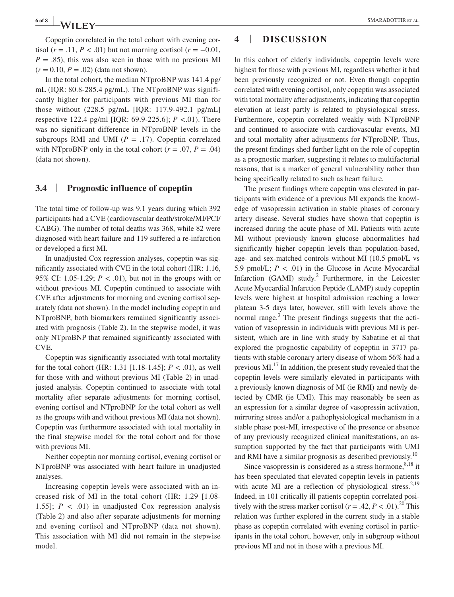**6 of 8 <sup>|</sup>** SMARADOTTIR et al.

Copeptin correlated in the total cohort with evening cortisol ( $r = .11$ ,  $P < .01$ ) but not morning cortisol ( $r = -0.01$ ,  $P = .85$ ), this was also seen in those with no previous MI  $(r = 0.10, P = .02)$  (data not shown).

In the total cohort, the median NTproBNP was 141.4 pg/ mL (IQR: 80.8-285.4 pg/mL). The NTproBNP was significantly higher for participants with previous MI than for those without (228.5 pg/mL [IQR: 117.9-492.1 pg/mL] respective 122.4 pg/ml [IQR: 69.9-225.6]; *P* <.01). There was no significant difference in NTproBNP levels in the subgroups RMI and UMI ( $P = .17$ ). Copeptin correlated with NTproBNP only in the total cohort  $(r = .07, P = .04)$ (data not shown).

### **3.4** | **Prognostic influence of copeptin**

The total time of follow-up was 9.1 years during which 392 participants had a CVE (cardiovascular death/stroke/MI/PCI/ CABG). The number of total deaths was 368, while 82 were diagnosed with heart failure and 119 suffered a re-infarction or developed a first MI.

In unadjusted Cox regression analyses, copeptin was significantly associated with CVE in the total cohort (HR: 1.16, 95% CI: 1.05-1.29;  $P < .01$ ), but not in the groups with or without previous MI. Copeptin continued to associate with CVE after adjustments for morning and evening cortisol separately (data not shown). In the model including copeptin and NTproBNP, both biomarkers remained significantly associated with prognosis (Table 2). In the stepwise model, it was only NTproBNP that remained significantly associated with CVE.

Copeptin was significantly associated with total mortality for the total cohort (HR: 1.31 [1.18-1.45]; *P* < .01), as well for those with and without previous MI (Table 2) in unadjusted analysis. Copeptin continued to associate with total mortality after separate adjustments for morning cortisol, evening cortisol and NTproBNP for the total cohort as well as the groups with and without previous MI (data not shown). Copeptin was furthermore associated with total mortality in the final stepwise model for the total cohort and for those with previous MI.

Neither copeptin nor morning cortisol, evening cortisol or NTproBNP was associated with heart failure in unadjusted analyses.

Increasing copeptin levels were associated with an increased risk of MI in the total cohort (HR: 1.29 [1.08- 1.55];  $P < .01$  in unadjusted Cox regression analysis (Table 2) and also after separate adjustments for morning and evening cortisol and NTproBNP (data not shown). This association with MI did not remain in the stepwise model.

## **4** | **DISCUSSION**

In this cohort of elderly individuals, copeptin levels were highest for those with previous MI, regardless whether it had been previously recognized or not. Even though copeptin correlated with evening cortisol, only copeptin was associated with total mortality after adjustments, indicating that copeptin elevation at least partly is related to physiological stress. Furthermore, copeptin correlated weakly with NTproBNP and continued to associate with cardiovascular events, MI and total mortality after adjustments for NTproBNP. Thus, the present findings shed further light on the role of copeptin as a prognostic marker, suggesting it relates to multifactorial reasons, that is a marker of general vulnerability rather than being specifically related to such as heart failure.

The present findings where copeptin was elevated in participants with evidence of a previous MI expands the knowledge of vasopressin activation in stable phases of coronary artery disease. Several studies have shown that copeptin is increased during the acute phase of MI. Patients with acute MI without previously known glucose abnormalities had significantly higher copeptin levels than population-based, age- and sex-matched controls without MI (10.5 pmol/L vs 5.9 pmol/L;  $P < .01$ ) in the Glucose in Acute Myocardial Infarction (GAMI) study.<sup>2</sup> Furthermore, in the Leicester Acute Myocardial Infarction Peptide (LAMP) study copeptin levels were highest at hospital admission reaching a lower plateau 3-5 days later, however, still with levels above the normal range.<sup>3</sup> The present findings suggests that the activation of vasopressin in individuals with previous MI is persistent, which are in line with study by Sabatine et al that explored the prognostic capability of copeptin in 3717 patients with stable coronary artery disease of whom 56% had a previous MI.17 In addition, the present study revealed that the copeptin levels were similarly elevated in participants with a previously known diagnosis of MI (ie RMI) and newly detected by CMR (ie UMI). This may reasonably be seen as an expression for a similar degree of vasopressin activation, mirroring stress and/or a pathophysiological mechanism in a stable phase post-MI, irrespective of the presence or absence of any previously recognized clinical manifestations, an assumption supported by the fact that participants with UMI and RMI have a similar prognosis as described previously.<sup>10</sup>

Since vasopressin is considered as a stress hormone,  $8,18$  it has been speculated that elevated copeptin levels in patients with acute MI are a reflection of physiological stress.<sup>2,19</sup> Indeed, in 101 critically ill patients copeptin correlated positively with the stress marker cortisol ( $r = .42, P < .01$ ).<sup>20</sup> This relation was further explored in the current study in a stable phase as copeptin correlated with evening cortisol in participants in the total cohort, however, only in subgroup without previous MI and not in those with a previous MI.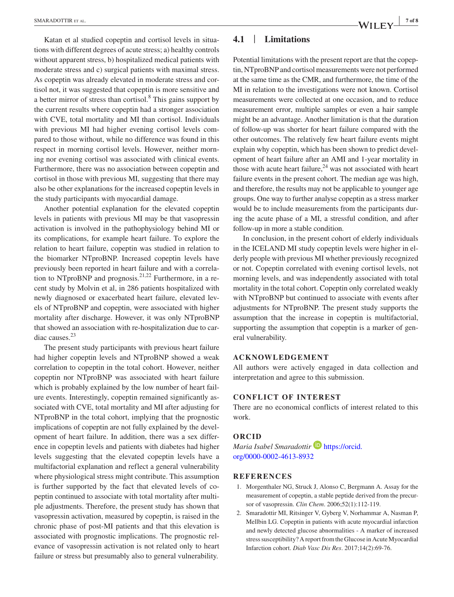Katan et al studied copeptin and cortisol levels in situations with different degrees of acute stress; a) healthy controls without apparent stress, b) hospitalized medical patients with moderate stress and c) surgical patients with maximal stress. As copeptin was already elevated in moderate stress and cortisol not, it was suggested that copeptin is more sensitive and a better mirror of stress than cortisol.<sup>8</sup> This gains support by the current results where copeptin had a stronger association with CVE, total mortality and MI than cortisol. Individuals with previous MI had higher evening cortisol levels compared to those without, while no difference was found in this respect in morning cortisol levels. However, neither morning nor evening cortisol was associated with clinical events. Furthermore, there was no association between copeptin and cortisol in those with previous MI, suggesting that there may also be other explanations for the increased copeptin levels in the study participants with myocardial damage.

Another potential explanation for the elevated copeptin levels in patients with previous MI may be that vasopressin activation is involved in the pathophysiology behind MI or its complications, for example heart failure. To explore the relation to heart failure, copeptin was studied in relation to the biomarker NTproBNP. Increased copeptin levels have previously been reported in heart failure and with a correlation to NTproBNP and prognosis.<sup>21,22</sup> Furthermore, in a recent study by Molvin et al, in 286 patients hospitalized with newly diagnosed or exacerbated heart failure, elevated levels of NTproBNP and copeptin, were associated with higher mortality after discharge. However, it was only NTproBNP that showed an association with re-hospitalization due to cardiac causes.<sup>23</sup>

The present study participants with previous heart failure had higher copeptin levels and NTproBNP showed a weak correlation to copeptin in the total cohort. However, neither copeptin nor NTproBNP was associated with heart failure which is probably explained by the low number of heart failure events. Interestingly, copeptin remained significantly associated with CVE, total mortality and MI after adjusting for NTproBNP in the total cohort, implying that the prognostic implications of copeptin are not fully explained by the development of heart failure. In addition, there was a sex difference in copeptin levels and patients with diabetes had higher levels suggesting that the elevated copeptin levels have a multifactorial explanation and reflect a general vulnerability where physiological stress might contribute. This assumption is further supported by the fact that elevated levels of copeptin continued to associate with total mortality after multiple adjustments. Therefore, the present study has shown that vasopressin activation, measured by copeptin, is raised in the chronic phase of post-MI patients and that this elevation is associated with prognostic implications. The prognostic relevance of vasopressin activation is not related only to heart failure or stress but presumably also to general vulnerability.

### **4.1** | **Limitations**

Potential limitations with the present report are that the copeptin, NTproBNP and cortisol measurements were not performed at the same time as the CMR, and furthermore, the time of the MI in relation to the investigations were not known. Cortisol measurements were collected at one occasion, and to reduce measurement error, multiple samples or even a hair sample might be an advantage. Another limitation is that the duration of follow-up was shorter for heart failure compared with the other outcomes. The relatively few heart failure events might explain why copeptin, which has been shown to predict development of heart failure after an AMI and 1-year mortality in those with acute heart failure, $24$  was not associated with heart failure events in the present cohort. The median age was high, and therefore, the results may not be applicable to younger age groups. One way to further analyse copeptin as a stress marker would be to include measurements from the participants during the acute phase of a MI, a stressful condition, and after follow-up in more a stable condition.

In conclusion, in the present cohort of elderly individuals in the ICELAND MI study copeptin levels were higher in elderly people with previous MI whether previously recognized or not. Copeptin correlated with evening cortisol levels, not morning levels, and was independently associated with total mortality in the total cohort. Copeptin only correlated weakly with NTproBNP but continued to associate with events after adjustments for NTproBNP. The present study supports the assumption that the increase in copeptin is multifactorial, supporting the assumption that copeptin is a marker of general vulnerability.

#### **ACKNOWLEDGEMENT**

All authors were actively engaged in data collection and interpretation and agree to this submission.

#### **CONFLICT OF INTEREST**

There are no economical conflicts of interest related to this work.

#### **ORCID**

*Maria Isabel Smaradottir* **[https://orcid.](https://orcid.org/0000-0002-4613-8932)** [org/0000-0002-4613-8932](https://orcid.org/0000-0002-4613-8932)

#### **REFERENCES**

- 1. Morgenthaler NG, Struck J, Alonso C, Bergmann A. Assay for the measurement of copeptin, a stable peptide derived from the precursor of vasopressin. *Clin Chem*. 2006;52(1):112-119.
- 2. Smaradottir MI, Ritsinger V, Gyberg V, Norhammar A, Nasman P, Mellbin LG. Copeptin in patients with acute myocardial infarction and newly detected glucose abnormalities - A marker of increased stress susceptibility? A report from the Glucose in Acute Myocardial Infarction cohort. *Diab Vasc Dis Res*. 2017;14(2):69-76.